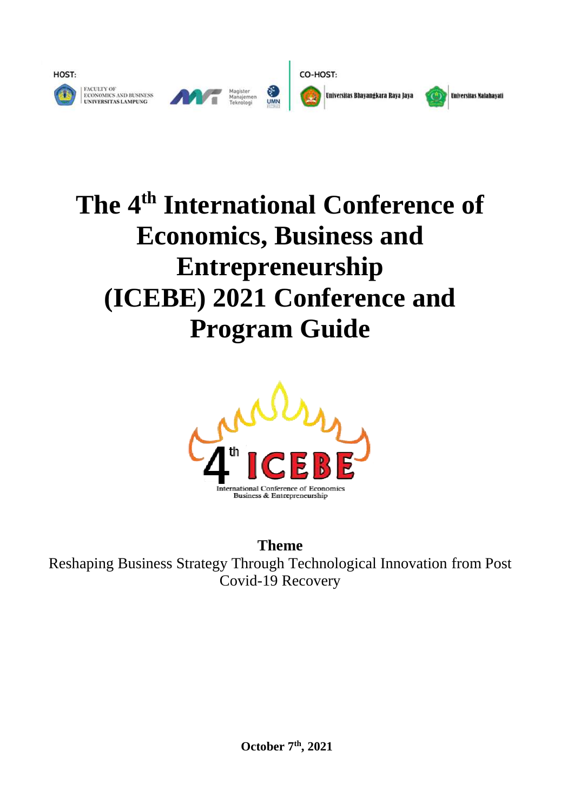

# **The 4th International Conference of Economics, Business and Entrepreneurship (ICEBE) 2021 Conference and Program Guide**



**Theme** Reshaping Business Strategy Through Technological Innovation from Post Covid-19 Recovery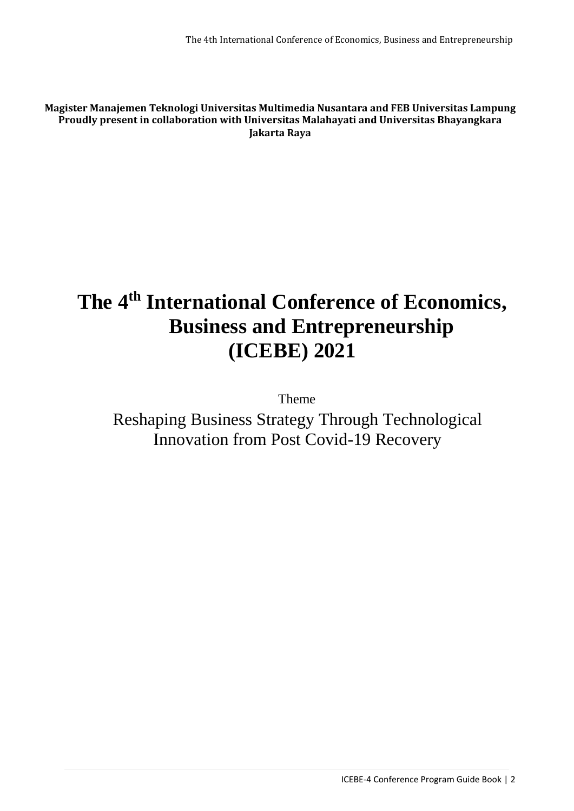**Magister Manajemen Teknologi Universitas Multimedia Nusantara and FEB Universitas Lampung Proudly present in collaboration with Universitas Malahayati and Universitas Bhayangkara Jakarta Raya**

## **The 4 th International Conference of Economics, Business and Entrepreneurship (ICEBE) 2021**

Theme

Reshaping Business Strategy Through Technological Innovation from Post Covid-19 Recovery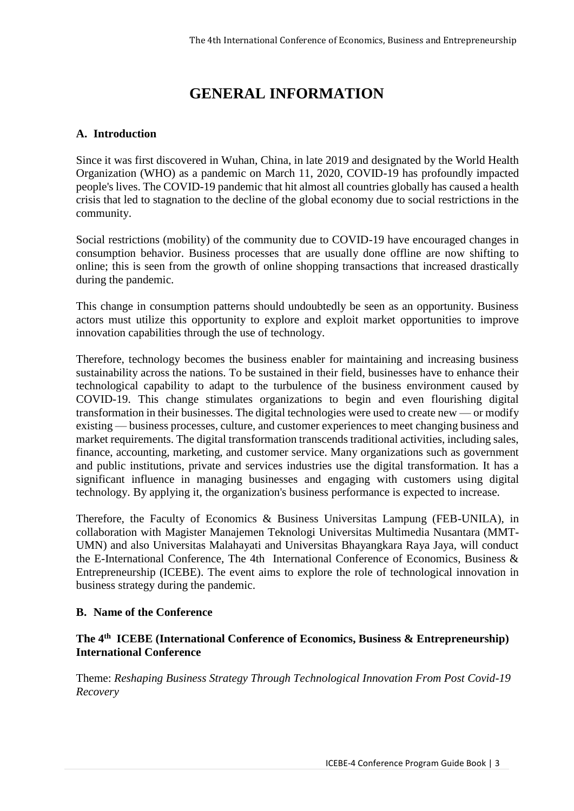## **GENERAL INFORMATION**

#### **A. Introduction**

Since it was first discovered in Wuhan, China, in late 2019 and designated by the World Health Organization (WHO) as a pandemic on March 11, 2020, COVID-19 has profoundly impacted people's lives. The COVID-19 pandemic that hit almost all countries globally has caused a health crisis that led to stagnation to the decline of the global economy due to social restrictions in the community.

Social restrictions (mobility) of the community due to COVID-19 have encouraged changes in consumption behavior. Business processes that are usually done offline are now shifting to online; this is seen from the growth of online shopping transactions that increased drastically during the pandemic.

This change in consumption patterns should undoubtedly be seen as an opportunity. Business actors must utilize this opportunity to explore and exploit market opportunities to improve innovation capabilities through the use of technology.

Therefore, technology becomes the business enabler for maintaining and increasing business sustainability across the nations. To be sustained in their field, businesses have to enhance their technological capability to adapt to the turbulence of the business environment caused by COVID-19. This change stimulates organizations to begin and even flourishing digital transformation in their businesses. The digital technologies were used to create new — or modify existing — business processes, culture, and customer experiences to meet changing business and market requirements. The digital transformation transcends traditional activities, including sales, finance, accounting, marketing, and customer service. Many organizations such as government and public institutions, private and services industries use the digital transformation. It has a significant influence in managing businesses and engaging with customers using digital technology. By applying it, the organization's business performance is expected to increase.

Therefore, the Faculty of Economics & Business Universitas Lampung (FEB-UNILA), in collaboration with Magister Manajemen Teknologi Universitas Multimedia Nusantara (MMT-UMN) and also Universitas Malahayati and Universitas Bhayangkara Raya Jaya, will conduct the E-International Conference, The 4th International Conference of Economics, Business & Entrepreneurship (ICEBE). The event aims to explore the role of technological innovation in business strategy during the pandemic.

#### **B. Name of the Conference**

#### **The 4th ICEBE (International Conference of Economics, Business & Entrepreneurship) International Conference**

Theme: *Reshaping Business Strategy Through Technological Innovation From Post Covid-19 Recovery*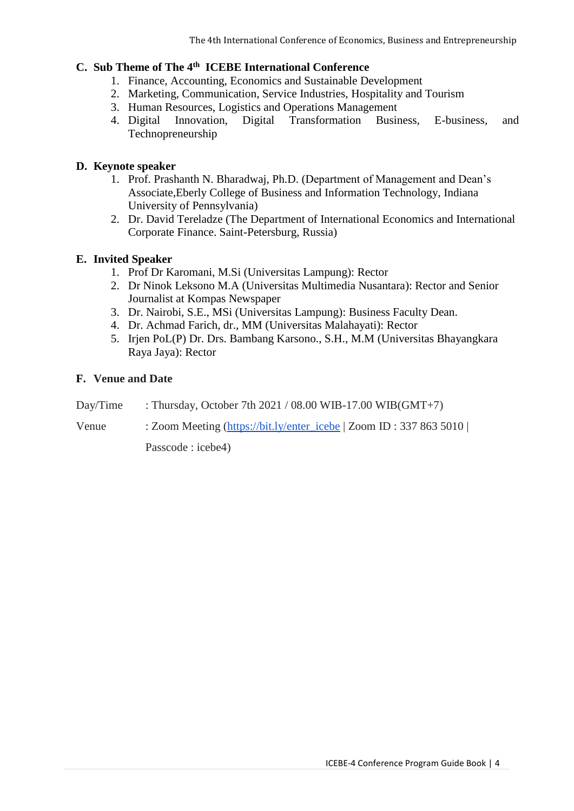#### **C. Sub Theme of The 4th ICEBE International Conference**

- 1. Finance, Accounting, Economics and Sustainable Development
- 2. Marketing, Communication, Service Industries, Hospitality and Tourism
- 3. Human Resources, Logistics and Operations Management
- 4. Digital Innovation, Digital Transformation Business, E-business, and Technopreneurship

#### **D. Keynote speaker**

- 1. Prof. Prashanth N. Bharadwaj, Ph.D. (Department of Management and Dean's Associate,Eberly College of Business and Information Technology, Indiana University of Pennsylvania)
- 2. Dr. David Tereladze (The Department of International Economics and International Corporate Finance. Saint-Petersburg, Russia)

#### **E. Invited Speaker**

- 1. Prof Dr Karomani, M.Si (Universitas Lampung): Rector
- 2. Dr Ninok Leksono M.A (Universitas Multimedia Nusantara): Rector and Senior Journalist at Kompas Newspaper
- 3. Dr. Nairobi, S.E., MSi (Universitas Lampung): Business Faculty Dean.
- 4. Dr. Achmad Farich, dr., MM (Universitas Malahayati): Rector
- 5. Irjen PoL(P) Dr. Drs. Bambang Karsono., S.H., M.M (Universitas Bhayangkara Raya Jaya): Rector

#### **F. Venue and Date**

- Day/Time : Thursday, October 7th  $2021 / 08.00$  WIB-17.00 WIB(GMT+7)
- Venue : Zoom Meeting [\(https://bit.ly/enter\\_icebe](https://bit.ly/enter_icebe) | Zoom ID : 337 863 5010 |

Passcode : icebe4)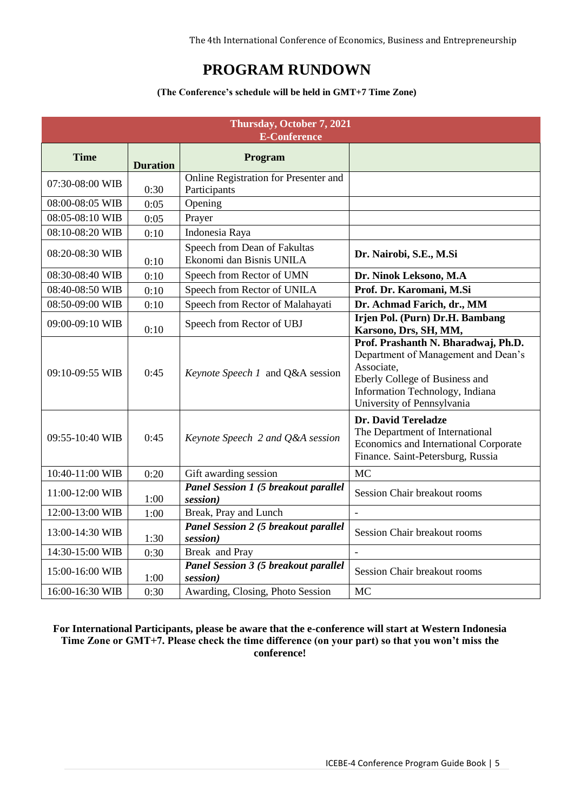The 4th International Conference of Economics, Business and Entrepreneurship

## **PROGRAM RUNDOWN**

#### **(The Conference's schedule will be held in GMT+7 Time Zone)**

|                 | Thursday, October 7, 2021<br><b>E-Conference</b> |                                                          |                                                                                                                                                                                             |  |  |  |
|-----------------|--------------------------------------------------|----------------------------------------------------------|---------------------------------------------------------------------------------------------------------------------------------------------------------------------------------------------|--|--|--|
| <b>Time</b>     | <b>Duration</b>                                  | Program                                                  |                                                                                                                                                                                             |  |  |  |
| 07:30-08:00 WIB | 0:30                                             | Online Registration for Presenter and<br>Participants    |                                                                                                                                                                                             |  |  |  |
| 08:00-08:05 WIB | 0:05                                             | Opening                                                  |                                                                                                                                                                                             |  |  |  |
| 08:05-08:10 WIB | 0:05                                             | Prayer                                                   |                                                                                                                                                                                             |  |  |  |
| 08:10-08:20 WIB | 0:10                                             | Indonesia Raya                                           |                                                                                                                                                                                             |  |  |  |
| 08:20-08:30 WIB | 0:10                                             | Speech from Dean of Fakultas<br>Ekonomi dan Bisnis UNILA | Dr. Nairobi, S.E., M.Si                                                                                                                                                                     |  |  |  |
| 08:30-08:40 WIB | 0:10                                             | Speech from Rector of UMN                                | Dr. Ninok Leksono, M.A                                                                                                                                                                      |  |  |  |
| 08:40-08:50 WIB | 0:10                                             | Speech from Rector of UNILA                              | Prof. Dr. Karomani, M.Si                                                                                                                                                                    |  |  |  |
| 08:50-09:00 WIB | 0:10                                             | Speech from Rector of Malahayati                         | Dr. Achmad Farich, dr., MM                                                                                                                                                                  |  |  |  |
| 09:00-09:10 WIB | 0:10                                             | Speech from Rector of UBJ                                | Irjen Pol. (Purn) Dr.H. Bambang<br>Karsono, Drs, SH, MM,                                                                                                                                    |  |  |  |
| 09:10-09:55 WIB | 0:45                                             | Keynote Speech 1 and Q&A session                         | Prof. Prashanth N. Bharadwaj, Ph.D.<br>Department of Management and Dean's<br>Associate,<br>Eberly College of Business and<br>Information Technology, Indiana<br>University of Pennsylvania |  |  |  |
| 09:55-10:40 WIB | 0:45                                             | Keynote Speech 2 and Q&A session                         | Dr. David Tereladze<br>The Department of International<br>Economics and International Corporate<br>Finance. Saint-Petersburg, Russia                                                        |  |  |  |
| 10:40-11:00 WIB | 0:20                                             | Gift awarding session                                    | <b>MC</b>                                                                                                                                                                                   |  |  |  |
| 11:00-12:00 WIB | 1:00                                             | Panel Session 1 (5 breakout parallel<br>session)         | Session Chair breakout rooms                                                                                                                                                                |  |  |  |
| 12:00-13:00 WIB | 1:00                                             | Break, Pray and Lunch                                    |                                                                                                                                                                                             |  |  |  |
| 13:00-14:30 WIB | 1:30                                             | <b>Panel Session 2 (5 breakout parallel</b><br>session)  | Session Chair breakout rooms                                                                                                                                                                |  |  |  |
| 14:30-15:00 WIB | 0:30                                             | Break and Pray                                           |                                                                                                                                                                                             |  |  |  |
| 15:00-16:00 WIB | 1:00                                             | Panel Session 3 (5 breakout parallel<br>session)         | Session Chair breakout rooms                                                                                                                                                                |  |  |  |
| 16:00-16:30 WIB | 0:30                                             | Awarding, Closing, Photo Session                         | MC                                                                                                                                                                                          |  |  |  |

**For International Participants, please be aware that the e-conference will start at Western Indonesia Time Zone or GMT+7. Please check the time difference (on your part) so that you won't miss the conference!**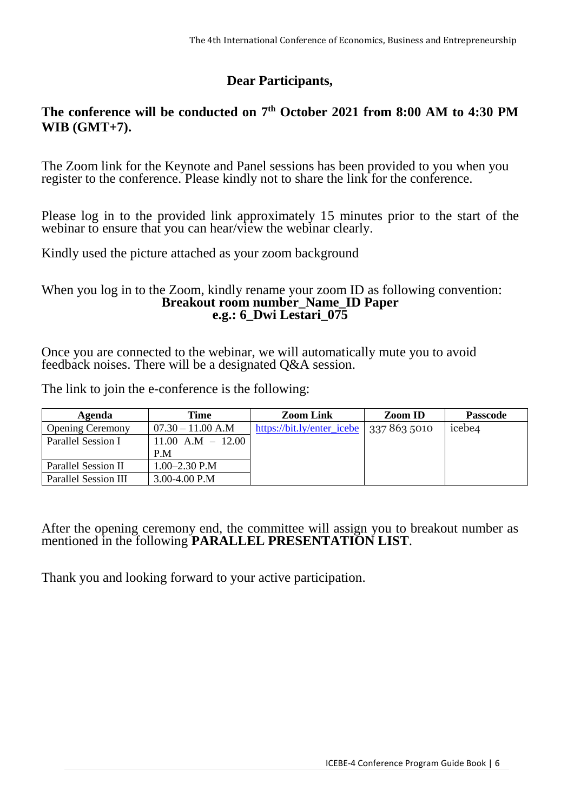#### **Dear Participants,**

#### **The conference will be conducted on 7 th October 2021 from 8:00 AM to 4:30 PM WIB (GMT+7).**

The Zoom link for the Keynote and Panel sessions has been provided to you when you register to the conference. Please kindly not to share the link for the conference.

Please log in to the provided link approximately 15 minutes prior to the start of the webinar to ensure that you can hear/view the webinar clearly.

Kindly used the picture attached as your zoom background

#### When you log in to the Zoom, kindly rename your zoom ID as following convention: **Breakout room number\_Name\_ID Paper e.g.: 6\_Dwi Lestari\_075**

Once you are connected to the webinar, we will automatically mute you to avoid feedback noises. There will be a designated Q&A session.

The link to join the e-conference is the following:

| Agenda                  | Time                  | <b>Zoom Link</b>                          | <b>Zoom ID</b> | <b>Passcode</b>    |
|-------------------------|-----------------------|-------------------------------------------|----------------|--------------------|
| <b>Opening Ceremony</b> | $07.30 - 11.00$ A.M   | https://bit.ly/enter_icebe   337 863 5010 |                | icebe <sub>4</sub> |
| Parallel Session I      | $11.00$ A.M $-$ 12.00 |                                           |                |                    |
|                         | P.M                   |                                           |                |                    |
| Parallel Session II     | $1.00 - 2.30$ P.M     |                                           |                |                    |
| Parallel Session III    | 3.00-4.00 P.M         |                                           |                |                    |

#### After the opening ceremony end, the committee will assign you to breakout number as mentioned in the following **PARALLEL PRESENTATION LIST**.

Thank you and looking forward to your active participation.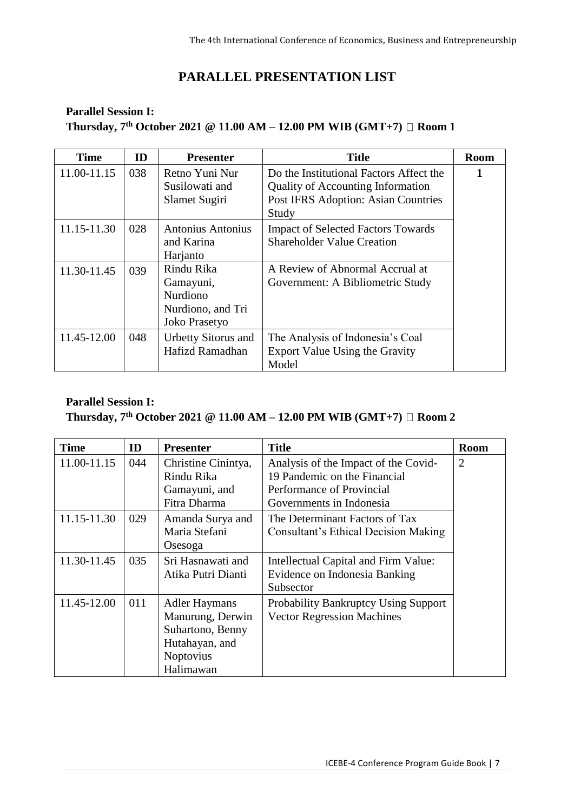### **PARALLEL PRESENTATION LIST**

#### **Parallel Session I: Thursday, 7 th October 2021 @ 11.00 AM – 12.00 PM WIB (GMT+7) Room 1**

| <b>Time</b> | ID  | <b>Presenter</b>                                                                 | <b>Title</b>                                                                                                                               | <b>Room</b> |
|-------------|-----|----------------------------------------------------------------------------------|--------------------------------------------------------------------------------------------------------------------------------------------|-------------|
| 11.00-11.15 | 038 | Retno Yuni Nur<br>Susilowati and<br>Slamet Sugiri                                | Do the Institutional Factors Affect the<br><b>Quality of Accounting Information</b><br><b>Post IFRS Adoption: Asian Countries</b><br>Study | 1           |
| 11.15-11.30 | 028 | Antonius Antonius<br>and Karina<br>Harjanto                                      | <b>Impact of Selected Factors Towards</b><br><b>Shareholder Value Creation</b>                                                             |             |
| 11.30-11.45 | 039 | Rindu Rika<br>Gamayuni,<br><b>Nurdiono</b><br>Nurdiono, and Tri<br>Joko Prasetyo | A Review of Abnormal Accrual at<br>Government: A Bibliometric Study                                                                        |             |
| 11.45-12.00 | 048 | <b>Urbetty Sitorus and</b><br>Hafizd Ramadhan                                    | The Analysis of Indonesia's Coal<br>Export Value Using the Gravity<br>Model                                                                |             |

| <b>Time</b> | ID  | <b>Presenter</b>                                                                                         | <b>Title</b>                                                                                                                  | <b>Room</b>    |
|-------------|-----|----------------------------------------------------------------------------------------------------------|-------------------------------------------------------------------------------------------------------------------------------|----------------|
| 11.00-11.15 | 044 | Christine Cinintya,<br>Rindu Rika<br>Gamayuni, and<br>Fitra Dharma                                       | Analysis of the Impact of the Covid-<br>19 Pandemic on the Financial<br>Performance of Provincial<br>Governments in Indonesia | $\overline{2}$ |
| 11.15-11.30 | 029 | Amanda Surya and<br>Maria Stefani<br>Osesoga                                                             | The Determinant Factors of Tax<br>Consultant's Ethical Decision Making                                                        |                |
| 11.30-11.45 | 035 | Sri Hasnawati and<br>Atika Putri Dianti                                                                  | Intellectual Capital and Firm Value:<br>Evidence on Indonesia Banking<br>Subsector                                            |                |
| 11.45-12.00 | 011 | <b>Adler Haymans</b><br>Manurung, Derwin<br>Suhartono, Benny<br>Hutahayan, and<br>Noptovius<br>Halimawan | <b>Probability Bankruptcy Using Support</b><br><b>Vector Regression Machines</b>                                              |                |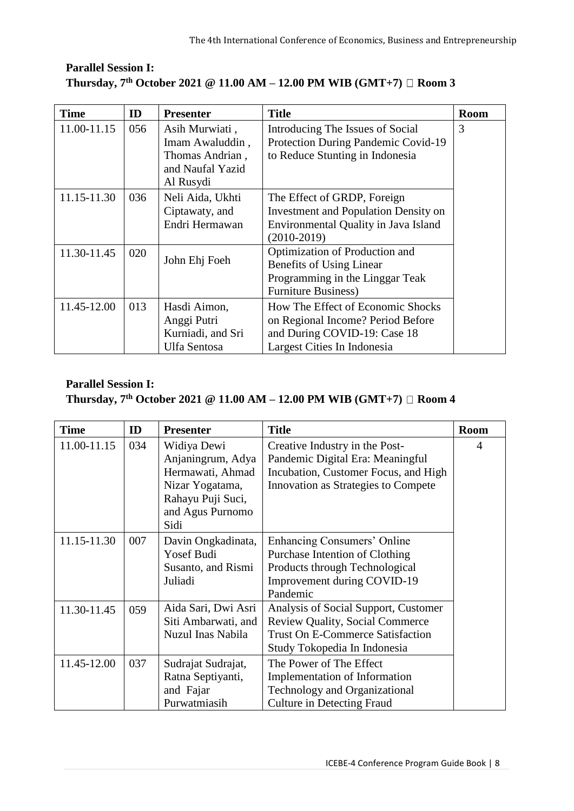| <b>Time</b> | ID  | <b>Presenter</b>                                                                      | <b>Title</b>                                                                                                                          | <b>Room</b> |
|-------------|-----|---------------------------------------------------------------------------------------|---------------------------------------------------------------------------------------------------------------------------------------|-------------|
| 11.00-11.15 | 056 | Asih Murwiati,<br>Imam Awaluddin,<br>Thomas Andrian,<br>and Naufal Yazid<br>Al Rusydi | Introducing The Issues of Social<br>Protection During Pandemic Covid-19<br>to Reduce Stunting in Indonesia                            | 3           |
| 11.15-11.30 | 036 | Neli Aida, Ukhti<br>Ciptawaty, and<br>Endri Hermawan                                  | The Effect of GRDP, Foreign<br><b>Investment and Population Density on</b><br>Environmental Quality in Java Island<br>$(2010-2019)$   |             |
| 11.30-11.45 | 020 | John Ehj Foeh                                                                         | Optimization of Production and<br>Benefits of Using Linear<br>Programming in the Linggar Teak<br><b>Furniture Business)</b>           |             |
| 11.45-12.00 | 013 | Hasdi Aimon,<br>Anggi Putri<br>Kurniadi, and Sri<br>Ulfa Sentosa                      | How The Effect of Economic Shocks<br>on Regional Income? Period Before<br>and During COVID-19: Case 18<br>Largest Cities In Indonesia |             |

| <b>Time</b> | ID  | <b>Presenter</b>                                                                                                         | <b>Title</b>                                                                                                                                              | <b>Room</b> |
|-------------|-----|--------------------------------------------------------------------------------------------------------------------------|-----------------------------------------------------------------------------------------------------------------------------------------------------------|-------------|
| 11.00-11.15 | 034 | Widiya Dewi<br>Anjaningrum, Adya<br>Hermawati, Ahmad<br>Nizar Yogatama,<br>Rahayu Puji Suci,<br>and Agus Purnomo<br>Sidi | Creative Industry in the Post-<br>Pandemic Digital Era: Meaningful<br>Incubation, Customer Focus, and High<br>Innovation as Strategies to Compete         | 4           |
| 11.15-11.30 | 007 | Davin Ongkadinata,<br><b>Yosef Budi</b><br>Susanto, and Rismi<br>Juliadi                                                 | Enhancing Consumers' Online<br>Purchase Intention of Clothing<br>Products through Technological<br>Improvement during COVID-19<br>Pandemic                |             |
| 11.30-11.45 | 059 | Aida Sari, Dwi Asri<br>Siti Ambarwati, and<br>Nuzul Inas Nabila                                                          | Analysis of Social Support, Customer<br><b>Review Quality, Social Commerce</b><br><b>Trust On E-Commerce Satisfaction</b><br>Study Tokopedia In Indonesia |             |
| 11.45-12.00 | 037 | Sudrajat Sudrajat,<br>Ratna Septiyanti,<br>and Fajar<br>Purwatmiasih                                                     | The Power of The Effect<br>Implementation of Information<br><b>Technology and Organizational</b><br><b>Culture in Detecting Fraud</b>                     |             |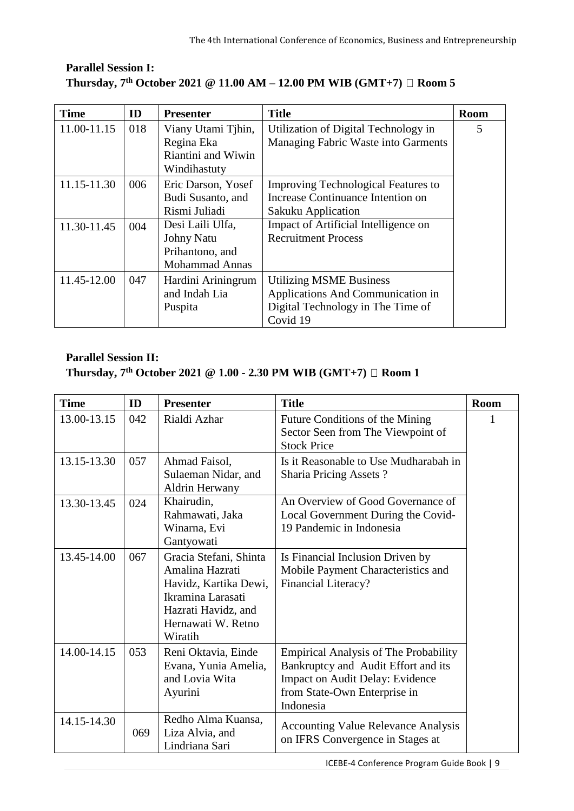| <b>Time</b> | ID  | <b>Presenter</b>                                                                  | <b>Title</b>                                                                                                         | <b>Room</b> |
|-------------|-----|-----------------------------------------------------------------------------------|----------------------------------------------------------------------------------------------------------------------|-------------|
| 11.00-11.15 | 018 | Viany Utami Tihin,<br>Regina Eka<br>Riantini and Wiwin<br>Windihastuty            | Utilization of Digital Technology in<br>Managing Fabric Waste into Garments                                          | 5           |
| 11.15-11.30 | 006 | Eric Darson, Yosef<br>Budi Susanto, and<br>Rismi Juliadi                          | Improving Technological Features to<br>Increase Continuance Intention on<br>Sakuku Application                       |             |
| 11.30-11.45 | 004 | Desi Laili Ulfa,<br><b>Johny Natu</b><br>Prihantono, and<br><b>Mohammad Annas</b> | Impact of Artificial Intelligence on<br><b>Recruitment Process</b>                                                   |             |
| 11.45-12.00 | 047 | Hardini Ariningrum<br>and Indah Lia<br>Puspita                                    | <b>Utilizing MSME Business</b><br>Applications And Communication in<br>Digital Technology in The Time of<br>Covid 19 |             |

| <b>Time</b> | ID  | <b>Presenter</b>                                                                                                                                | <b>Title</b>                                                                                                                                                               | Room |
|-------------|-----|-------------------------------------------------------------------------------------------------------------------------------------------------|----------------------------------------------------------------------------------------------------------------------------------------------------------------------------|------|
| 13.00-13.15 | 042 | Rialdi Azhar                                                                                                                                    | Future Conditions of the Mining<br>Sector Seen from The Viewpoint of<br><b>Stock Price</b>                                                                                 |      |
| 13.15-13.30 | 057 | Ahmad Faisol,<br>Sulaeman Nidar, and<br>Aldrin Herwany                                                                                          | Is it Reasonable to Use Mudharabah in<br><b>Sharia Pricing Assets?</b>                                                                                                     |      |
| 13.30-13.45 | 024 | Khairudin,<br>Rahmawati, Jaka<br>Winarna, Evi<br>Gantyowati                                                                                     | An Overview of Good Governance of<br>Local Government During the Covid-<br>19 Pandemic in Indonesia                                                                        |      |
| 13.45-14.00 | 067 | Gracia Stefani, Shinta<br>Amalina Hazrati<br>Havidz, Kartika Dewi,<br>Ikramina Larasati<br>Hazrati Havidz, and<br>Hernawati W. Retno<br>Wiratih | Is Financial Inclusion Driven by<br>Mobile Payment Characteristics and<br>Financial Literacy?                                                                              |      |
| 14.00-14.15 | 053 | Reni Oktavia, Einde<br>Evana, Yunia Amelia,<br>and Lovia Wita<br>Ayurini                                                                        | <b>Empirical Analysis of The Probability</b><br>Bankruptcy and Audit Effort and its<br><b>Impact on Audit Delay: Evidence</b><br>from State-Own Enterprise in<br>Indonesia |      |
| 14.15-14.30 | 069 | Redho Alma Kuansa,<br>Liza Alvia, and<br>Lindriana Sari                                                                                         | <b>Accounting Value Relevance Analysis</b><br>on IFRS Convergence in Stages at                                                                                             |      |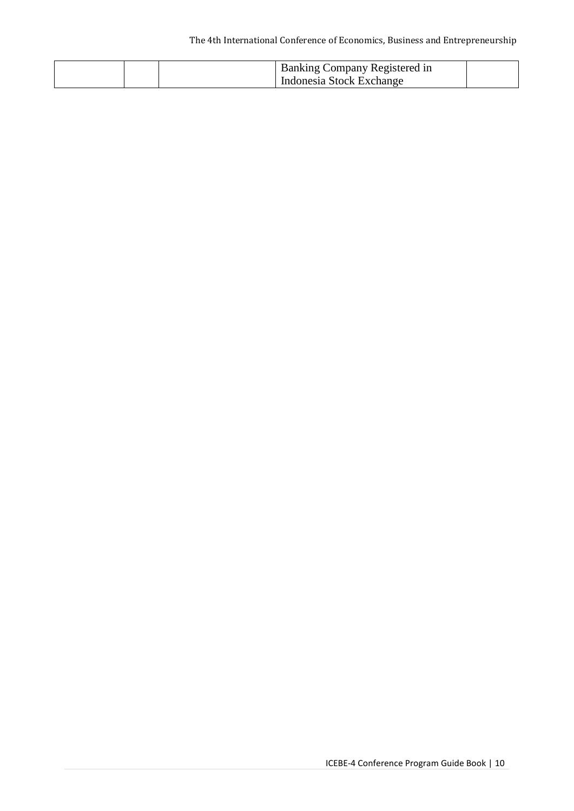| <b>Banking Company Registered in</b> |  |
|--------------------------------------|--|
| Indonesia Stock Exchange             |  |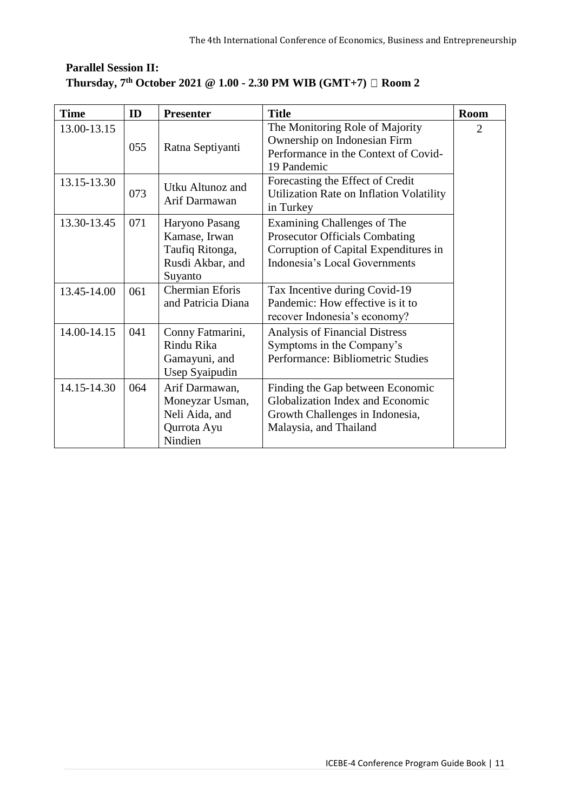| <b>Time</b> | ID  | <b>Presenter</b>                                                                  | <b>Title</b>                                                                                                                                   | <b>Room</b>    |
|-------------|-----|-----------------------------------------------------------------------------------|------------------------------------------------------------------------------------------------------------------------------------------------|----------------|
| 13.00-13.15 | 055 | Ratna Septiyanti                                                                  | The Monitoring Role of Majority<br>Ownership on Indonesian Firm<br>Performance in the Context of Covid-<br>19 Pandemic                         | $\overline{2}$ |
| 13.15-13.30 | 073 | Utku Altunoz and<br>Arif Darmawan                                                 | Forecasting the Effect of Credit<br>Utilization Rate on Inflation Volatility<br>in Turkey                                                      |                |
| 13.30-13.45 | 071 | Haryono Pasang<br>Kamase, Irwan<br>Taufiq Ritonga,<br>Rusdi Akbar, and<br>Suyanto | Examining Challenges of The<br><b>Prosecutor Officials Combating</b><br>Corruption of Capital Expenditures in<br>Indonesia's Local Governments |                |
| 13.45-14.00 | 061 | <b>Chermian Eforis</b><br>and Patricia Diana                                      | Tax Incentive during Covid-19<br>Pandemic: How effective is it to<br>recover Indonesia's economy?                                              |                |
| 14.00-14.15 | 041 | Conny Fatmarini,<br>Rindu Rika<br>Gamayuni, and<br>Usep Syaipudin                 | <b>Analysis of Financial Distress</b><br>Symptoms in the Company's<br>Performance: Bibliometric Studies                                        |                |
| 14.15-14.30 | 064 | Arif Darmawan,<br>Moneyzar Usman,<br>Neli Aida, and<br>Qurrota Ayu<br>Nindien     | Finding the Gap between Economic<br>Globalization Index and Economic<br>Growth Challenges in Indonesia,<br>Malaysia, and Thailand              |                |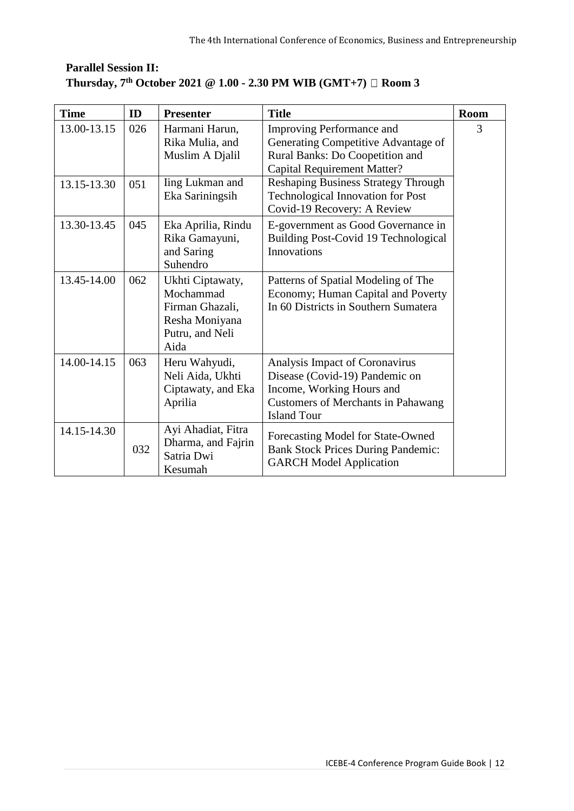| <b>Time</b> | ID  | <b>Presenter</b>                                                                              | <b>Title</b>                                                                                                                                                     | <b>Room</b> |
|-------------|-----|-----------------------------------------------------------------------------------------------|------------------------------------------------------------------------------------------------------------------------------------------------------------------|-------------|
| 13.00-13.15 | 026 | Harmani Harun,<br>Rika Mulia, and<br>Muslim A Djalil                                          | Improving Performance and<br>Generating Competitive Advantage of<br>Rural Banks: Do Coopetition and<br><b>Capital Requirement Matter?</b>                        | 3           |
| 13.15-13.30 | 051 | <b>Iing Lukman and</b><br>Eka Sariningsih                                                     | <b>Reshaping Business Strategy Through</b><br><b>Technological Innovation for Post</b><br>Covid-19 Recovery: A Review                                            |             |
| 13.30-13.45 | 045 | Eka Aprilia, Rindu<br>Rika Gamayuni,<br>and Saring<br>Suhendro                                | E-government as Good Governance in<br>Building Post-Covid 19 Technological<br>Innovations                                                                        |             |
| 13.45-14.00 | 062 | Ukhti Ciptawaty,<br>Mochammad<br>Firman Ghazali,<br>Resha Moniyana<br>Putru, and Neli<br>Aida | Patterns of Spatial Modeling of The<br>Economy; Human Capital and Poverty<br>In 60 Districts in Southern Sumatera                                                |             |
| 14.00-14.15 | 063 | Heru Wahyudi,<br>Neli Aida, Ukhti<br>Ciptawaty, and Eka<br>Aprilia                            | Analysis Impact of Coronavirus<br>Disease (Covid-19) Pandemic on<br>Income, Working Hours and<br><b>Customers of Merchants in Pahawang</b><br><b>Island Tour</b> |             |
| 14.15-14.30 | 032 | Ayi Ahadiat, Fitra<br>Dharma, and Fajrin<br>Satria Dwi<br>Kesumah                             | Forecasting Model for State-Owned<br><b>Bank Stock Prices During Pandemic:</b><br><b>GARCH Model Application</b>                                                 |             |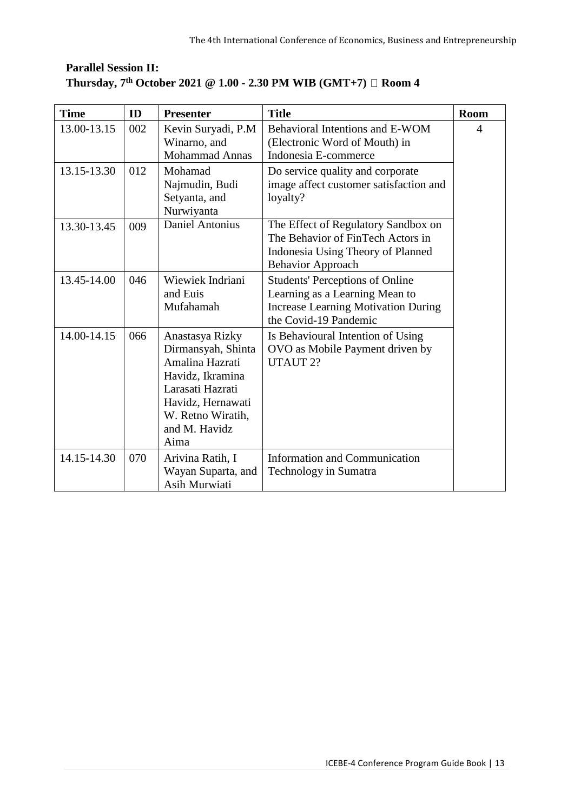| <b>Time</b> | ID  | <b>Presenter</b>                                                                                                                                                    | <b>Title</b>                                                                                                                                    | <b>Room</b> |
|-------------|-----|---------------------------------------------------------------------------------------------------------------------------------------------------------------------|-------------------------------------------------------------------------------------------------------------------------------------------------|-------------|
| 13.00-13.15 | 002 | Kevin Suryadi, P.M<br>Winarno, and<br><b>Mohammad Annas</b>                                                                                                         | Behavioral Intentions and E-WOM<br>(Electronic Word of Mouth) in<br>Indonesia E-commerce                                                        | 4           |
| 13.15-13.30 | 012 | Mohamad<br>Najmudin, Budi<br>Setyanta, and<br>Nurwiyanta                                                                                                            | Do service quality and corporate<br>image affect customer satisfaction and<br>loyalty?                                                          |             |
| 13.30-13.45 | 009 | <b>Daniel Antonius</b>                                                                                                                                              | The Effect of Regulatory Sandbox on<br>The Behavior of FinTech Actors in<br>Indonesia Using Theory of Planned<br><b>Behavior Approach</b>       |             |
| 13.45-14.00 | 046 | Wiewiek Indriani<br>and Euis<br>Mufahamah                                                                                                                           | <b>Students' Perceptions of Online</b><br>Learning as a Learning Mean to<br><b>Increase Learning Motivation During</b><br>the Covid-19 Pandemic |             |
| 14.00-14.15 | 066 | Anastasya Rizky<br>Dirmansyah, Shinta<br>Amalina Hazrati<br>Havidz, Ikramina<br>Larasati Hazrati<br>Havidz, Hernawati<br>W. Retno Wiratih,<br>and M. Havidz<br>Aima | Is Behavioural Intention of Using<br>OVO as Mobile Payment driven by<br>UTAUT 2?                                                                |             |
| 14.15-14.30 | 070 | Arivina Ratih, I<br>Wayan Suparta, and<br>Asih Murwiati                                                                                                             | <b>Information and Communication</b><br><b>Technology in Sumatra</b>                                                                            |             |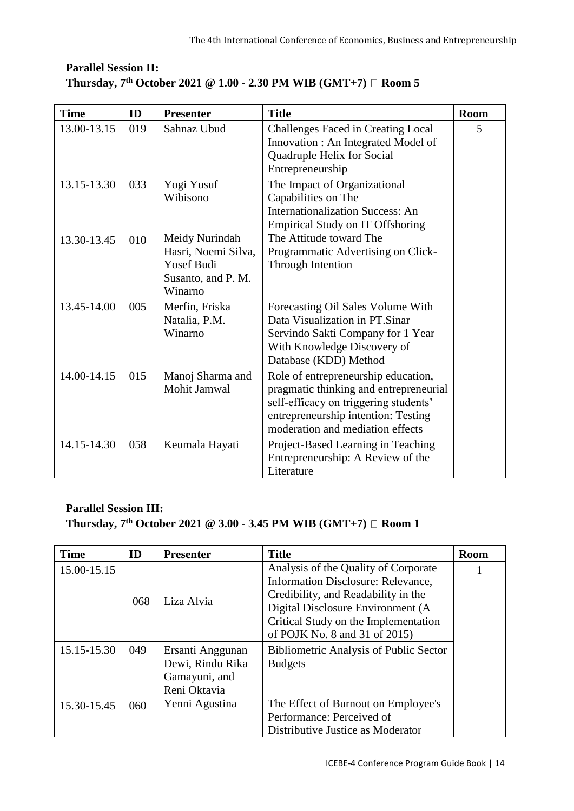| <b>Time</b> | ID  | <b>Presenter</b>                                                                            | <b>Title</b>                                                                                                                                                                                      | <b>Room</b> |
|-------------|-----|---------------------------------------------------------------------------------------------|---------------------------------------------------------------------------------------------------------------------------------------------------------------------------------------------------|-------------|
| 13.00-13.15 | 019 | Sahnaz Ubud                                                                                 | Challenges Faced in Creating Local<br>Innovation : An Integrated Model of<br>Quadruple Helix for Social<br>Entrepreneurship                                                                       | 5           |
| 13.15-13.30 | 033 | Yogi Yusuf<br>Wibisono                                                                      | The Impact of Organizational<br>Capabilities on The<br><b>Internationalization Success: An</b><br><b>Empirical Study on IT Offshoring</b>                                                         |             |
| 13.30-13.45 | 010 | Meidy Nurindah<br>Hasri, Noemi Silva,<br><b>Yosef Budi</b><br>Susanto, and P. M.<br>Winarno | The Attitude toward The<br>Programmatic Advertising on Click-<br>Through Intention                                                                                                                |             |
| 13.45-14.00 | 005 | Merfin, Friska<br>Natalia, P.M.<br>Winarno                                                  | Forecasting Oil Sales Volume With<br>Data Visualization in PT.Sinar<br>Servindo Sakti Company for 1 Year<br>With Knowledge Discovery of<br>Database (KDD) Method                                  |             |
| 14.00-14.15 | 015 | Manoj Sharma and<br>Mohit Jamwal                                                            | Role of entrepreneurship education,<br>pragmatic thinking and entrepreneurial<br>self-efficacy on triggering students'<br>entrepreneurship intention: Testing<br>moderation and mediation effects |             |
| 14.15-14.30 | 058 | Keumala Hayati                                                                              | Project-Based Learning in Teaching<br>Entrepreneurship: A Review of the                                                                                                                           |             |

#### **Parallel Session III: Thursday, 7th October 2021 @ 3.00 - 3.45 PM WIB (GMT+7) Room 1**

| <b>Time</b> | ID  | <b>Presenter</b> | <b>Title</b>                                  | <b>Room</b> |
|-------------|-----|------------------|-----------------------------------------------|-------------|
| 15.00-15.15 |     |                  | Analysis of the Quality of Corporate          |             |
|             |     | Liza Alvia       | Information Disclosure: Relevance,            |             |
|             | 068 |                  | Credibility, and Readability in the           |             |
|             |     |                  | Digital Disclosure Environment (A)            |             |
|             |     |                  | Critical Study on the Implementation          |             |
|             |     |                  | of POJK No. 8 and 31 of 2015)                 |             |
| 15.15-15.30 | 049 | Ersanti Anggunan | <b>Bibliometric Analysis of Public Sector</b> |             |
|             |     | Dewi, Rindu Rika | <b>Budgets</b>                                |             |
|             |     | Gamayuni, and    |                                               |             |
|             |     | Reni Oktavia     |                                               |             |
| 15.30-15.45 | 060 | Yenni Agustina   | The Effect of Burnout on Employee's           |             |
|             |     |                  | Performance: Perceived of                     |             |
|             |     |                  | Distributive Justice as Moderator             |             |

Literature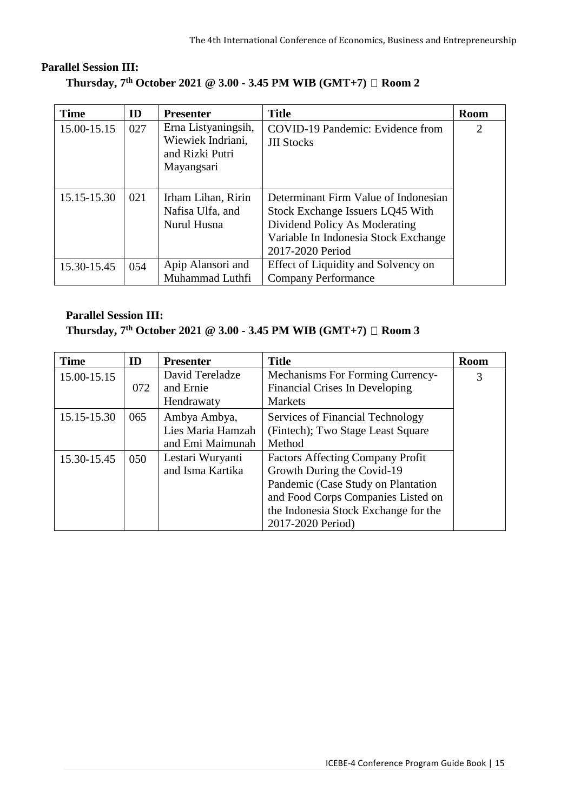| <b>Time</b> | ID  | <b>Presenter</b>                                                          | <b>Title</b>                                                                                                                                                          | <b>Room</b>    |
|-------------|-----|---------------------------------------------------------------------------|-----------------------------------------------------------------------------------------------------------------------------------------------------------------------|----------------|
| 15.00-15.15 | 027 | Erna Listyaningsih,<br>Wiewiek Indriani,<br>and Rizki Putri<br>Mayangsari | COVID-19 Pandemic: Evidence from<br><b>JII Stocks</b>                                                                                                                 | $\overline{2}$ |
| 15.15-15.30 | 021 | Irham Lihan, Ririn<br>Nafisa Ulfa, and<br>Nurul Husna                     | Determinant Firm Value of Indonesian<br>Stock Exchange Issuers LQ45 With<br>Dividend Policy As Moderating<br>Variable In Indonesia Stock Exchange<br>2017-2020 Period |                |
| 15.30-15.45 | 054 | Apip Alansori and<br>Muhammad Luthfi                                      | Effect of Liquidity and Solvency on<br><b>Company Performance</b>                                                                                                     |                |

| <b>Time</b> | ID  | <b>Presenter</b>  | <b>Title</b>                            | <b>Room</b> |
|-------------|-----|-------------------|-----------------------------------------|-------------|
| 15.00-15.15 |     | David Tereladze   | Mechanisms For Forming Currency-        | 3           |
|             | 072 | and Ernie         | <b>Financial Crises In Developing</b>   |             |
|             |     | Hendrawaty        | <b>Markets</b>                          |             |
| 15.15-15.30 | 065 | Ambya Ambya,      | Services of Financial Technology        |             |
|             |     | Lies Maria Hamzah | (Fintech); Two Stage Least Square       |             |
|             |     | and Emi Maimunah  | Method                                  |             |
| 15.30-15.45 | 050 | Lestari Wuryanti  | <b>Factors Affecting Company Profit</b> |             |
|             |     | and Isma Kartika  | Growth During the Covid-19              |             |
|             |     |                   | Pandemic (Case Study on Plantation      |             |
|             |     |                   | and Food Corps Companies Listed on      |             |
|             |     |                   | the Indonesia Stock Exchange for the    |             |
|             |     |                   | 2017-2020 Period)                       |             |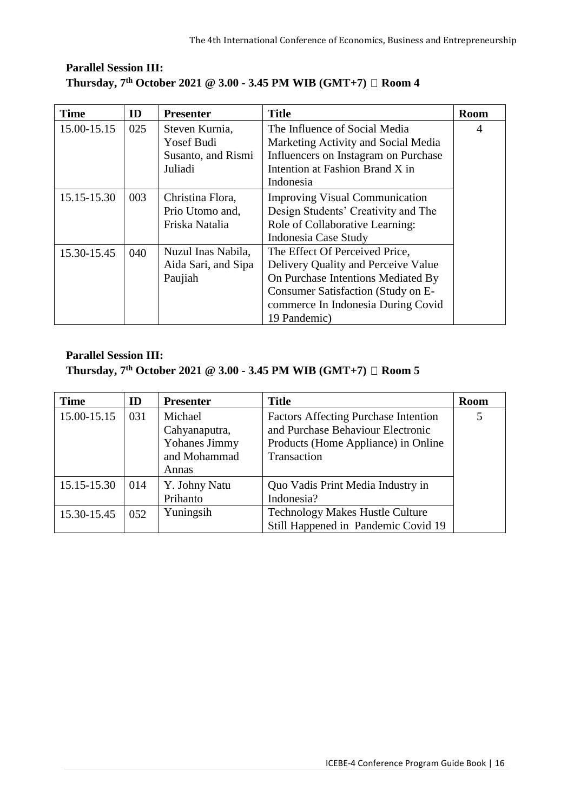| <b>Time</b> | ID  | <b>Presenter</b>    | <b>Title</b>                          | <b>Room</b> |
|-------------|-----|---------------------|---------------------------------------|-------------|
| 15.00-15.15 | 025 | Steven Kurnia,      | The Influence of Social Media         | 4           |
|             |     | <b>Yosef Budi</b>   | Marketing Activity and Social Media   |             |
|             |     | Susanto, and Rismi  | Influencers on Instagram on Purchase  |             |
|             |     | Juliadi             | Intention at Fashion Brand X in       |             |
|             |     |                     | Indonesia                             |             |
| 15.15-15.30 | 003 | Christina Flora,    | <b>Improving Visual Communication</b> |             |
|             |     | Prio Utomo and,     | Design Students' Creativity and The   |             |
|             |     | Friska Natalia      | Role of Collaborative Learning:       |             |
|             |     |                     | Indonesia Case Study                  |             |
| 15.30-15.45 | 040 | Nuzul Inas Nabila,  | The Effect Of Perceived Price,        |             |
|             |     | Aida Sari, and Sipa | Delivery Quality and Perceive Value   |             |
|             |     | Paujiah             | On Purchase Intentions Mediated By    |             |
|             |     |                     | Consumer Satisfaction (Study on E-    |             |
|             |     |                     | commerce In Indonesia During Covid    |             |
|             |     |                     | 19 Pandemic)                          |             |

| <b>Time</b> | ID  | <b>Presenter</b> | <b>Title</b>                                | <b>Room</b> |
|-------------|-----|------------------|---------------------------------------------|-------------|
| 15.00-15.15 | 031 | Michael          | <b>Factors Affecting Purchase Intention</b> |             |
|             |     | Cahyanaputra,    | and Purchase Behaviour Electronic           |             |
|             |     | Yohanes Jimmy    | Products (Home Appliance) in Online         |             |
|             |     | and Mohammad     | Transaction                                 |             |
|             |     | Annas            |                                             |             |
| 15.15-15.30 | 014 | Y. Johny Natu    | Quo Vadis Print Media Industry in           |             |
|             |     | Prihanto         | Indonesia?                                  |             |
| 15.30-15.45 | 052 | Yuningsih        | <b>Technology Makes Hustle Culture</b>      |             |
|             |     |                  | Still Happened in Pandemic Covid 19         |             |